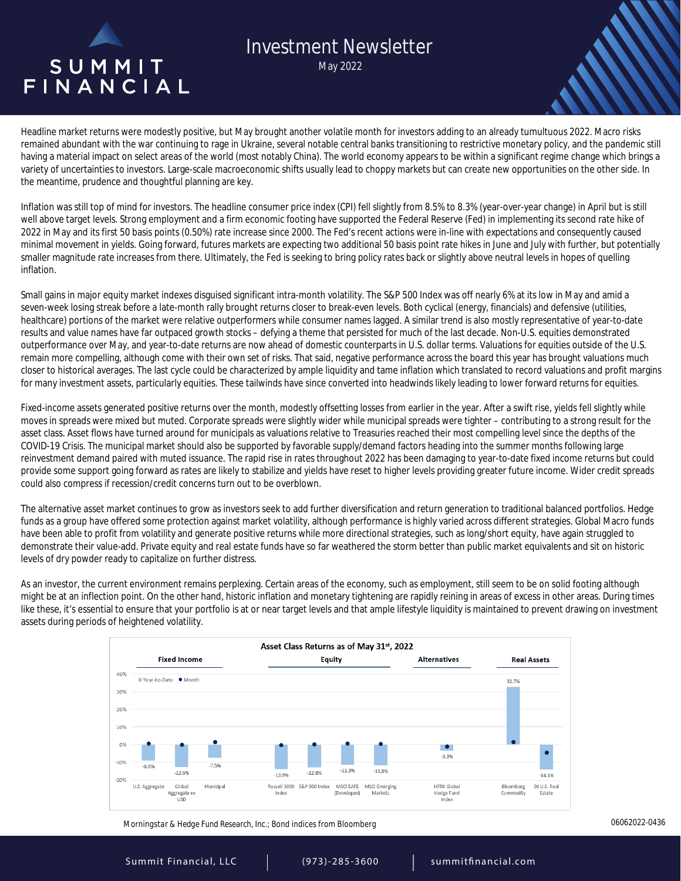# SUMMIT<br>FINANCIAL

## Investment Newsletter

May 2022

Headline market returns were modestly positive, but May brought another volatile month for investors adding to an already tumultuous 2022. Macro risks remained abundant with the war continuing to rage in Ukraine, several notable central banks transitioning to restrictive monetary policy, and the pandemic still having a material impact on select areas of the world (most notably China). The world economy appears to be within a significant regime change which brings a variety of uncertainties to investors. Large-scale macroeconomic shifts usually lead to choppy markets but can create new opportunities on the other side. In the meantime, prudence and thoughtful planning are key.

Inflation was still top of mind for investors. The headline consumer price index (CPI) fell slightly from 8.5% to 8.3% (year-over-year change) in April but is still well above target levels. Strong employment and a firm economic footing have supported the Federal Reserve (Fed) in implementing its second rate hike of 2022 in May and its first 50 basis points (0.50%) rate increase since 2000. The Fed's recent actions were in-line with expectations and consequently caused minimal movement in yields. Going forward, futures markets are expecting two additional 50 basis point rate hikes in June and July with further, but potentially smaller magnitude rate increases from there. Ultimately, the Fed is seeking to bring policy rates back or slightly above neutral levels in hopes of quelling inflation.

Small gains in major equity market indexes disguised significant intra-month volatility. The S&P 500 Index was off nearly 6% at its low in May and amid a seven-week losing streak before a late-month rally brought returns closer to break-even levels. Both cyclical (energy, financials) and defensive (utilities, healthcare) portions of the market were relative outperformers while consumer names lagged. A similar trend is also mostly representative of year-to-date results and value names have far outpaced growth stocks – defying a theme that persisted for much of the last decade. Non-U.S. equities demonstrated outperformance over May, and year-to-date returns are now ahead of domestic counterparts in U.S. dollar terms. Valuations for equities outside of the U.S. remain more compelling, although come with their own set of risks. That said, negative performance across the board this year has brought valuations much closer to historical averages. The last cycle could be characterized by ample liquidity and tame inflation which translated to record valuations and profit margins for many investment assets, particularly equities. These tailwinds have since converted into headwinds likely leading to lower forward returns for equities.

Fixed-income assets generated positive returns over the month, modestly offsetting losses from earlier in the year. After a swift rise, yields fell slightly while moves in spreads were mixed but muted. Corporate spreads were slightly wider while municipal spreads were tighter – contributing to a strong result for the asset class. Asset flows have turned around for municipals as valuations relative to Treasuries reached their most compelling level since the depths of the COVID-19 Crisis. The municipal market should also be supported by favorable supply/demand factors heading into the summer months following large reinvestment demand paired with muted issuance. The rapid rise in rates throughout 2022 has been damaging to year-to-date fixed income returns but could provide some support going forward as rates are likely to stabilize and yields have reset to higher levels providing greater future income. Wider credit spreads could also compress if recession/credit concerns turn out to be overblown.

The alternative asset market continues to grow as investors seek to add further diversification and return generation to traditional balanced portfolios. Hedge funds as a group have offered some protection against market volatility, although performance is highly varied across different strategies. Global Macro funds have been able to profit from volatility and generate positive returns while more directional strategies, such as long/short equity, have again struggled to demonstrate their value-add. Private equity and real estate funds have so far weathered the storm better than public market equivalents and sit on historic levels of dry powder ready to capitalize on further distress.

As an investor, the current environment remains perplexing. Certain areas of the economy, such as employment, still seem to be on solid footing although might be at an inflection point. On the other hand, historic inflation and monetary tightening are rapidly reining in areas of excess in other areas. During times like these, it's essential to ensure that your portfolio is at or near target levels and that ample lifestyle liquidity is maintained to prevent drawing on investment assets during periods of heightened volatility.



*Morningstar & Hedge Fund Research, Inc.; Bond indices from Bloomberg*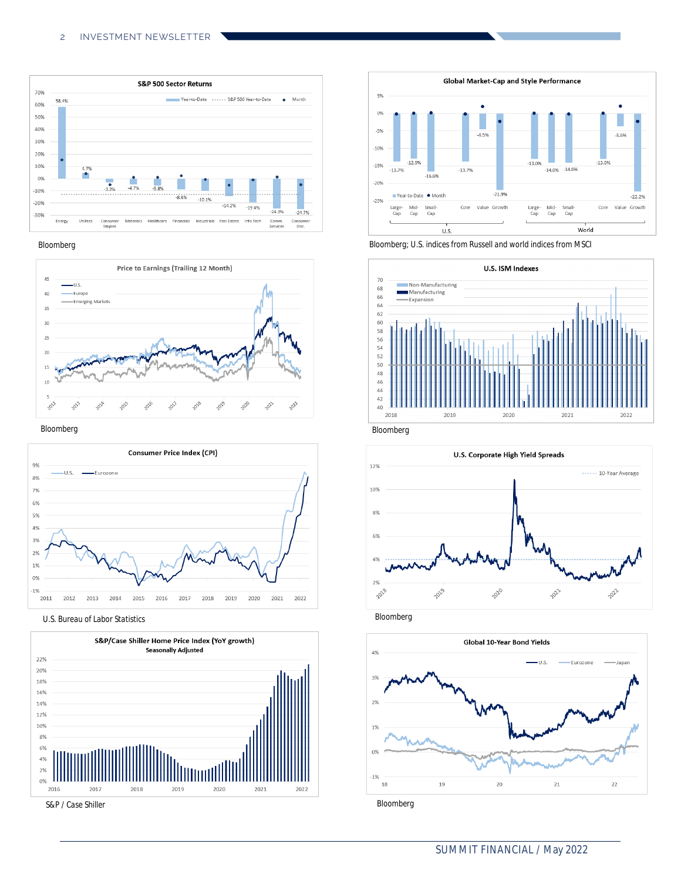#### 2 INVESTMENT NEWSLETTER